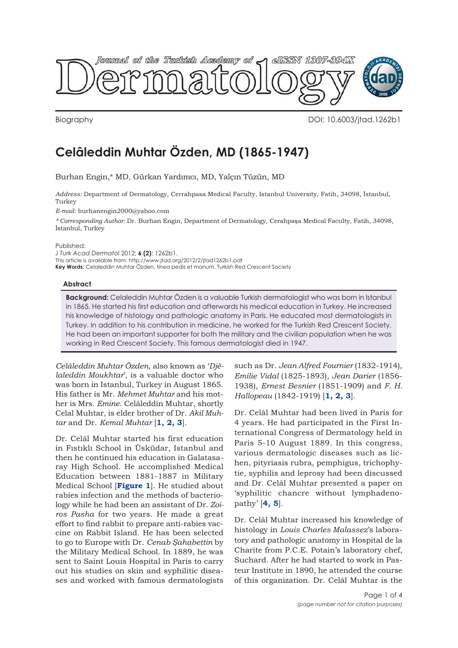<span id="page-0-0"></span>

Biography DOI: 10.6003/jtad.1262b1

## **Celâleddin Muhtar Özden, MD (1865-1947)**

Burhan Engin,\* MD, Gürkan Yardımcı, MD, Yalçın Tüzün, MD

*Address:* Department of Dermatology, Cerrahpasa Medical Faculty, Istanbul University, Fatih, 34098, İstanbul, Turkey

*E-mail:* burhanengin2000@yahoo.com

*\* Corresponding Author:* Dr. Burhan Engin, Department of Dermatology, Cerahpaşa Medical Faculty, Fatih, 34098, İstanbul, Turkey

Published:

*J Turk Acad Dermatol* 2012; **6 (2)**: 1262b1. This article is available from: http://www.jtad.org/2012/2/jtad1262b1.pdf **Key Words:** Celaleddin Muhtar Özden, tinea pedis et manum, Turkish Red Crescent Society

## **Abstract**

**Background:** Celaleddin Muhtar Özden is a valuable Turkish dermatologist who was born in Istanbul in 1865. He started his first education and afterwards his medical education in Turkey. He increased his knowledge of histology and pathologic anatomy in Paris. He educated most dermatologists in Turkey. In addition to his contribution in medicine, he worked for the Turkish Red Crescent Society. He had been an important supporter for both the military and the civilian population when he was working in Red Crescent Society. This famous dermatologist died in 1947.

*Celâleddin Muhtar Özden*, also known as '*Djèlaleddin Moukhtar*', is a valuable doctor who was born in Istanbul, Turkey in August 1865. His father is Mr. *Mehmet Muhtar* and his mother is Mrs. *Emine*. Celâleddin Muhtar, shortly Celal Muhtar, is elder brother of Dr. *Akil Muhtar* and Dr. *Kemal Muhtar* [**[1, 2, 3](#page-3-0)**].

Dr. Celâl Muhtar started his first education in Fıstıklı School in Üsküdar, Istanbul and then he continued his education in Galatasaray High School. He accomplished Medical Education between 1881-1887 in Military Medical School [**[Figure 1](#page-1-0)**]. He studied about rabies infection and the methods of bacteriology while he had been an assistant of Dr. *Zoiros Pasha* for two years. He made a great effort to find rabbit to prepare anti-rabies vaccine on Rabbit Island. He has been selected to go to Europe with Dr. *Cenab Şahabettin* by the Military Medical School. In 1889, he was sent to Saint Louis Hospital in Paris to carry out his studies on skin and syphilitic diseases and worked with famous dermatologists

such as Dr. *Jean Alfred Fournier* (1832-1914), *Emilie Vidal* (1825-1893), *Jean Darier* (1856- 1938), *Ernest Besnier* (1851-1909) and *F. H. Hallopeau* (1842-1919) [**[1, 2,](#page-3-0) [3](#page-3-0)**].

Dr. Celâl Muhtar had been lived in Paris for 4 years. He had participated in the First International Congress of Dermatology held in Paris 5-10 August 1889. In this congress, various dermatologic diseases such as lichen, pityriasis rubra, pemphigus, trichophytie, syphilis and leprosy had been discussed and Dr. Celâl Muhtar presented a paper on 'syphilitic chancre without lymphadenopathy' [**[4, 5](#page-3-0)**].

Dr. Celâl Muhtar increased his knowledge of histology in *Louis Charles Malassez*'s laboratory and pathologic anatomy in Hospital de la Charite from P.C.E. Potain's laboratory chef, Suchard. After he had started to work in Pasteur Institute in 1890, he attended the course of this organization. Dr. Celâl Muhtar is the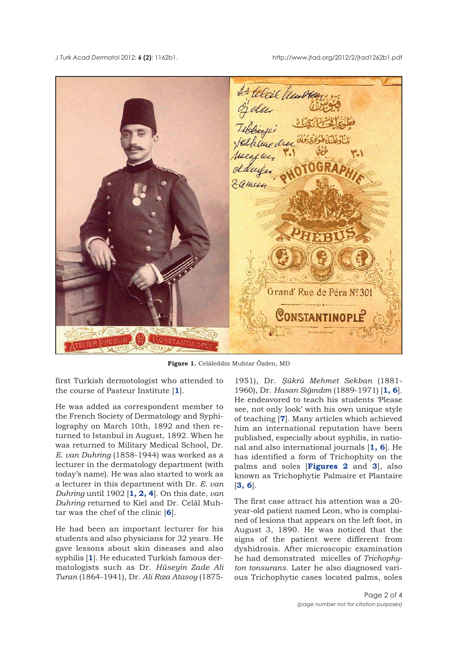<span id="page-1-0"></span>*J Turk Acad Dermato*l 2012; **6 (2)**: 1162b1. http://www.jtad.org/2012/2/jtad1262b1.pdf



**[Figure 1.](#page-0-0)** Celâleddin Muhtar Özden, MD

first Turkish dermotologist who attended to the course of Pasteur Institute [**[1](#page-3-0)**].

He was added as correspondent member to the French Society of Dermatology and Syphilography on March 10th, 1892 and then returned to Istanbul in August, 1892. When he was returned to Military Medical School, Dr. *E. van Duhring* (1858-1944) was worked as a lecturer in the dermatology department (with today's name). He was also started to work as a lecturer in this department with Dr. *E. van Duhring* until 1902 [**[1, 2, 4](#page-3-0)**]. On this date, *van Duhring* returned to Kiel and Dr. Celâl Muhtar was the chef of the clinic [**[6](#page-3-0)**].

He had been an important lecturer for his students and also physicians for 32 years. He gave lessons about skin diseases and also syphilis [**[1](#page-3-0)**]. He educated Turkish famous dermatologists such as Dr. *Hüseyin Zade Ali Turan* (1864-1941), Dr. *Ali Rıza Atasoy* (1875-

1951), Dr. *Şükrü Mehmet Sekban* (1881- 1960), Dr. *Hasan Sığındım* (1889-1971) [**[1, 6](#page-3-0)**]. He endeavored to teach his students 'Please see, not only look' with his own unique style of teaching [**[7](#page-3-0)**]. Many articles which achieved him an international reputation have been published, especially about syphilis, in national and also international journals [**[1, 6](#page-3-0)**]. He has identified a form of Trichophity on the palms and soles [**Figures [2](#page-2-0)** and **[3](#page-2-0)**], also known as Trichophytie Palmaire et Plantaire [**[3, 6](#page-3-0)**].

The first case attract his attention was a 20 year-old patient named Leon, who is complained of lesions that appears on the left foot, in August 3, 1890. He was noticed that the signs of the patient were different from dyshidrosis. After microscopic examination he had demonstrated micelles of *Trichophyton tonsurans*. Later he also diagnosed various Trichophytie cases located palms, soles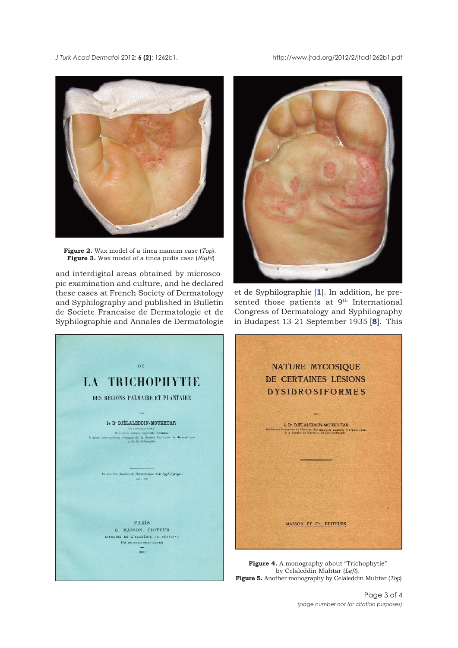<span id="page-2-0"></span>*J Turk Acad Dermato*l 2012; **6 (2)**: 1262b1. http://www.jtad.org/2012/2/jtad1262b1.pdf



**[Figure 2.](#page-1-0)** Wax model of a tinea manum case (*Top*). **[Figure 3.](#page-1-0)** Wax model of a tinea pedis case (*Right*)

and interdigital areas obtained by microscopic examination and culture, and he declared these cases at French Society of Dermatology and Syphilography and published in Bulletin de Societe Francaise de Dermatologie et de Syphilographie and Annales de Dermatologie



et de Syphilographie [**[1](#page-3-0)**]. In addition, he presented those patients at  $9<sup>th</sup>$  International Congress of Dermatology and Syphilography in Budapest 13-21 September 1935 [**[8](#page-3-0)**]. This



by Celaleddin Muhtar (*Left*). **Figure 5.** Another monography by Celaleddin Muhtar (*Top*)

Page 3 of 4 *(page number not for citation purposes)*